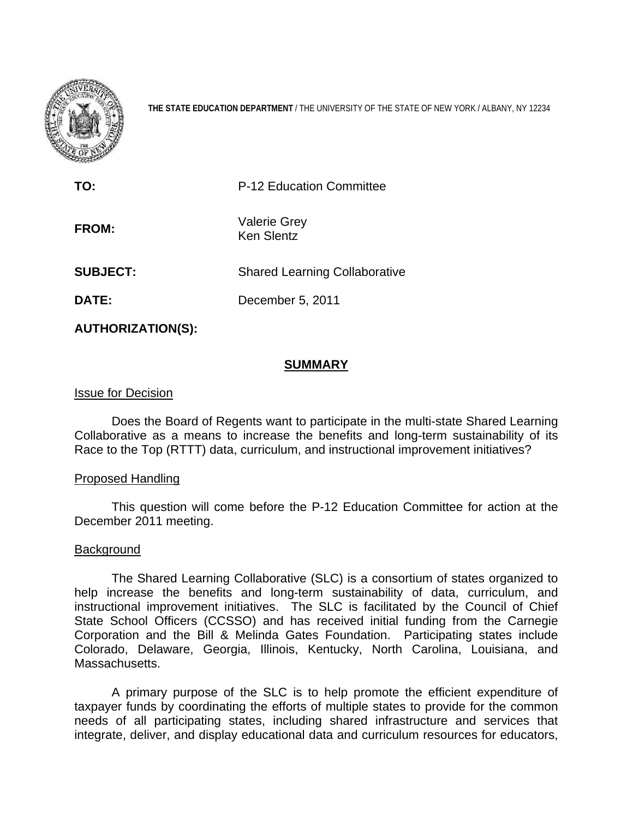

**THE STATE EDUCATION DEPARTMENT** / THE UNIVERSITY OF THE STATE OF NEW YORK / ALBANY, NY 12234

| P-12 Education Committee                 |
|------------------------------------------|
| <b>Valerie Grey</b><br><b>Ken Slentz</b> |
| <b>Shared Learning Collaborative</b>     |
| December 5, 2011                         |
|                                          |

**AUTHORIZATION(S):** 

# **SUMMARY**

## Issue for Decision

Does the Board of Regents want to participate in the multi-state Shared Learning Collaborative as a means to increase the benefits and long-term sustainability of its Race to the Top (RTTT) data, curriculum, and instructional improvement initiatives?

## Proposed Handling

This question will come before the P-12 Education Committee for action at the December 2011 meeting.

# Background

The Shared Learning Collaborative (SLC) is a consortium of states organized to help increase the benefits and long-term sustainability of data, curriculum, and instructional improvement initiatives. The SLC is facilitated by the Council of Chief State School Officers (CCSSO) and has received initial funding from the Carnegie Corporation and the Bill & Melinda Gates Foundation. Participating states include Colorado, Delaware, Georgia, Illinois, Kentucky, North Carolina, Louisiana, and Massachusetts.

A primary purpose of the SLC is to help promote the efficient expenditure of taxpayer funds by coordinating the efforts of multiple states to provide for the common needs of all participating states, including shared infrastructure and services that integrate, deliver, and display educational data and curriculum resources for educators,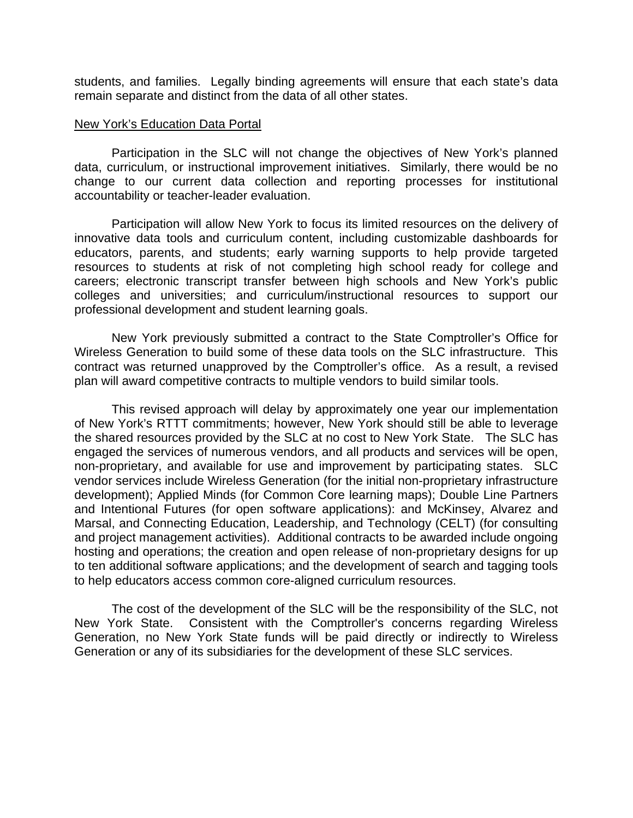students, and families. Legally binding agreements will ensure that each state's data remain separate and distinct from the data of all other states.

#### New York's Education Data Portal

 Participation in the SLC will not change the objectives of New York's planned data, curriculum, or instructional improvement initiatives. Similarly, there would be no change to our current data collection and reporting processes for institutional accountability or teacher-leader evaluation.

Participation will allow New York to focus its limited resources on the delivery of innovative data tools and curriculum content, including customizable dashboards for educators, parents, and students; early warning supports to help provide targeted resources to students at risk of not completing high school ready for college and careers; electronic transcript transfer between high schools and New York's public colleges and universities; and curriculum/instructional resources to support our professional development and student learning goals.

 New York previously submitted a contract to the State Comptroller's Office for Wireless Generation to build some of these data tools on the SLC infrastructure. This contract was returned unapproved by the Comptroller's office. As a result, a revised plan will award competitive contracts to multiple vendors to build similar tools.

This revised approach will delay by approximately one year our implementation of New York's RTTT commitments; however, New York should still be able to leverage the shared resources provided by the SLC at no cost to New York State. The SLC has engaged the services of numerous vendors, and all products and services will be open, non-proprietary, and available for use and improvement by participating states. SLC vendor services include Wireless Generation (for the initial non-proprietary infrastructure development); Applied Minds (for Common Core learning maps); Double Line Partners and Intentional Futures (for open software applications): and McKinsey, Alvarez and Marsal, and Connecting Education, Leadership, and Technology (CELT) (for consulting and project management activities). Additional contracts to be awarded include ongoing hosting and operations; the creation and open release of non-proprietary designs for up to ten additional software applications; and the development of search and tagging tools to help educators access common core-aligned curriculum resources.

The cost of the development of the SLC will be the responsibility of the SLC, not New York State. Consistent with the Comptroller's concerns regarding Wireless Generation, no New York State funds will be paid directly or indirectly to Wireless Generation or any of its subsidiaries for the development of these SLC services.